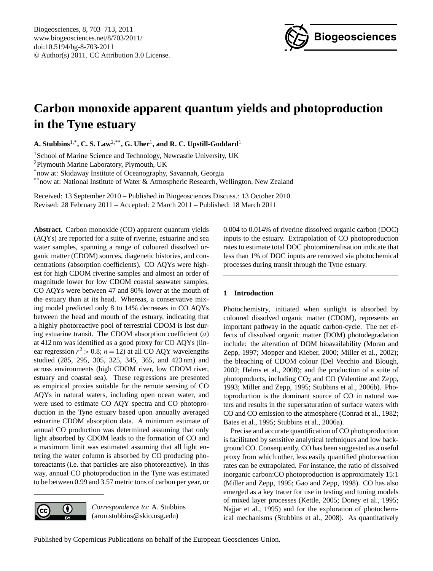

# <span id="page-0-0"></span>**Carbon monoxide apparent quantum yields and photoproduction in the Tyne estuary**

**A. Stubbins**1,\***, C. S. Law**2,\*\***, G. Uher**<sup>1</sup> **, and R. C. Upstill-Goddard**<sup>1</sup>

<sup>1</sup> School of Marine Science and Technology, Newcastle University, UK

<sup>2</sup>Plymouth Marine Laboratory, Plymouth, UK

\*now at: Skidaway Institute of Oceanography, Savannah, Georgia

\*\*now at: National Institute of Water & Atmospheric Research, Wellington, New Zealand

Received: 13 September 2010 – Published in Biogeosciences Discuss.: 13 October 2010 Revised: 28 February 2011 – Accepted: 2 March 2011 – Published: 18 March 2011

**Abstract.** Carbon monoxide (CO) apparent quantum yields (AQYs) are reported for a suite of riverine, estuarine and sea water samples, spanning a range of coloured dissolved organic matter (CDOM) sources, diagenetic histories, and concentrations (absorption coefficients). CO AQYs were highest for high CDOM riverine samples and almost an order of magnitude lower for low CDOM coastal seawater samples. CO AQYs were between 47 and 80% lower at the mouth of the estuary than at its head. Whereas, a conservative mixing model predicted only 8 to 14% decreases in CO AQYs between the head and mouth of the estuary, indicating that a highly photoreactive pool of terrestrial CDOM is lost during estuarine transit. The CDOM absorption coefficient  $(a)$ at 412 nm was identified as a good proxy for CO AQYs (linear regression  $r^2 > 0.8$ ;  $n = 12$ ) at all CO AQY wavelengths studied (285, 295, 305, 325, 345, 365, and 423 nm) and across environments (high CDOM river, low CDOM river, estuary and coastal sea). These regressions are presented as empirical proxies suitable for the remote sensing of CO AQYs in natural waters, including open ocean water, and were used to estimate CO AQY spectra and CO photoproduction in the Tyne estuary based upon annually averaged estuarine CDOM absorption data. A minimum estimate of annual CO production was determined assuming that only light absorbed by CDOM leads to the formation of CO and a maximum limit was estimated assuming that all light entering the water column is absorbed by CO producing photoreactants (i.e. that particles are also photoreactive). In this way, annual CO photoproduction in the Tyne was estimated to be between 0.99 and 3.57 metric tons of carbon per year, or

0

*Correspondence to:* A. Stubbins (aron.stubbins@skio.usg.edu)

0.004 to 0.014% of riverine dissolved organic carbon (DOC) inputs to the estuary. Extrapolation of CO photoproduction rates to estimate total DOC photomineralisation indicate that less than 1% of DOC inputs are removed via photochemical processes during transit through the Tyne estuary.

# **1 Introduction**

Photochemistry, initiated when sunlight is absorbed by coloured dissolved organic matter (CDOM), represents an important pathway in the aquatic carbon-cycle. The net effects of dissolved organic matter (DOM) photodegradation include: the alteration of DOM bioavailability (Moran and Zepp, 1997; Mopper and Kieber, 2000; Miller et al., 2002); the bleaching of CDOM colour (Del Vecchio and Blough, 2002; Helms et al., 2008); and the production of a suite of photoproducts, including  $CO<sub>2</sub>$  and  $CO$  (Valentine and Zepp, 1993; Miller and Zepp, 1995; Stubbins et al., 2006b). Photoproduction is the dominant source of CO in natural waters and results in the supersaturation of surface waters with CO and CO emission to the atmosphere (Conrad et al., 1982; Bates et al., 1995; Stubbins et al., 2006a).

Precise and accurate quantification of CO photoproduction is facilitated by sensitive analytical techniques and low background CO. Consequently, CO has been suggested as a useful proxy from which other, less easily quantified photoreaction rates can be extrapolated. For instance, the ratio of dissolved inorganic carbon:CO photoproduction is approximately 15:1 (Miller and Zepp, 1995; Gao and Zepp, 1998). CO has also emerged as a key tracer for use in testing and tuning models of mixed layer processes (Kettle, 2005; Doney et al., 1995; Najjar et al., 1995) and for the exploration of photochemical mechanisms (Stubbins et al., 2008). As quantitatively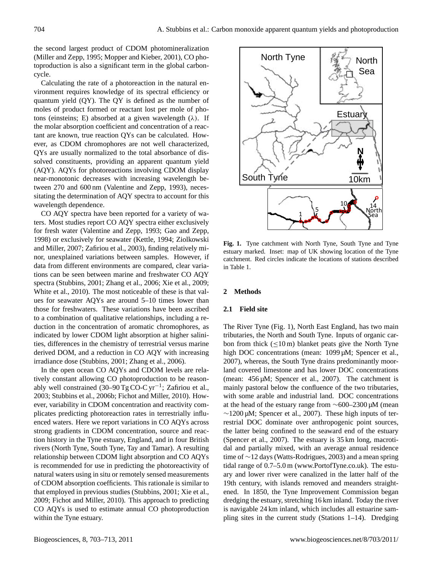the second largest product of CDOM photomineralization (Miller and Zepp, 1995; Mopper and Kieber, 2001), CO photoproduction is also a significant term in the global carboncycle.

Calculating the rate of a photoreaction in the natural environment requires knowledge of its spectral efficiency or quantum yield (QY). The QY is defined as the number of moles of product formed or reactant lost per mole of photons (einsteins; E) absorbed at a given wavelength  $(\lambda)$ . If the molar absorption coefficient and concentration of a reactant are known, true reaction QYs can be calculated. However, as CDOM chromophores are not well characterized, QYs are usually normalized to the total absorbance of dissolved constituents, providing an apparent quantum yield (AQY). AQYs for photoreactions involving CDOM display near-monotonic decreases with increasing wavelength between 270 and 600 nm (Valentine and Zepp, 1993), necessitating the determination of AQY spectra to account for this wavelength dependence.

CO AQY spectra have been reported for a variety of waters. Most studies report CO AQY spectra either exclusively for fresh water (Valentine and Zepp, 1993; Gao and Zepp, 1998) or exclusively for seawater (Kettle, 1994; Ziolkowski and Miller, 2007; Zafiriou et al., 2003), finding relatively minor, unexplained variations between samples. However, if data from different environments are compared, clear variations can be seen between marine and freshwater CO AQY spectra (Stubbins, 2001; Zhang et al., 2006; Xie et al., 2009; White et al., 2010). The most noticeable of these is that values for seawater AQYs are around 5–10 times lower than those for freshwaters. These variations have been ascribed to a combination of qualitative relationships, including a reduction in the concentration of aromatic chromophores, as indicated by lower CDOM light absorption at higher salinities, differences in the chemistry of terrestrial versus marine derived DOM, and a reduction in CO AQY with increasing irradiance dose (Stubbins, 2001; Zhang et al., 2006).

In the open ocean CO AQYs and CDOM levels are relatively constant allowing CO photoproduction to be reasonably well constrained (30–90 Tg CO-C yr<sup>-1</sup>; Zafiriou et al., 2003; Stubbins et al., 2006b; Fichot and Miller, 2010). However, variability in CDOM concentration and reactivity complicates predicting photoreaction rates in terrestrially influenced waters. Here we report variations in CO AQYs across strong gradients in CDOM concentration, source and reaction history in the Tyne estuary, England, and in four British rivers (North Tyne, South Tyne, Tay and Tamar). A resulting relationship between CDOM light absorption and CO AQYs is recommended for use in predicting the photoreactivity of natural waters using in situ or remotely sensed measurements of CDOM absorption coefficients. This rationale is similar to that employed in previous studies (Stubbins, 2001; Xie et al., 2009; Fichot and Miller, 2010). This approach to predicting CO AQYs is used to estimate annual CO photoproduction within the Tyne estuary.



**Fig. 1.** Tyne catchment with North Tyne, South Tyne and Tyne estuary marked. Inset: map of UK showing location of the Tyne catchment. Red circles indicate the locations of stations described in Table 1.

# **2 Methods**

# **2.1 Field site**

The River Tyne (Fig. 1), North East England, has two main tributaries, the North and South Tyne. Inputs of organic carbon from thick  $\left($  < 10 m) blanket peats give the North Tyne high DOC concentrations (mean: 1099 µM; Spencer et al., 2007), whereas, the South Tyne drains predominantly moorland covered limestone and has lower DOC concentrations (mean: 456 µM; Spencer et al., 2007). The catchment is mainly pastoral below the confluence of the two tributaries, with some arable and industrial land. DOC concentrations at the head of the estuary range from ∼600–2300 µM (mean ∼1200 µM; Spencer et al., 2007). These high inputs of terrestrial DOC dominate over anthropogenic point sources, the latter being confined to the seaward end of the estuary (Spencer et al., 2007). The estuary is 35 km long, macrotidal and partially mixed, with an average annual residence time of ∼12 days (Watts-Rodrigues, 2003) and a mean spring tidal range of 0.7–5.0 m [\(www.PortofTyne.co.uk\)](www.PortofTyne.co.uk). The estuary and lower river were canalized in the latter half of the 19th century, with islands removed and meanders straightened. In 1850, the Tyne Improvement Commission began dredging the estuary, stretching 16 km inland. Today the river is navigable 24 km inland, which includes all estuarine sampling sites in the current study (Stations 1–14). Dredging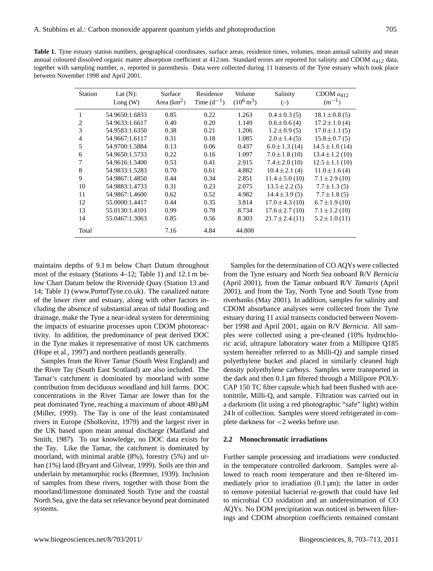Table 1. Tyne estuary station numbers, geographical coordinates, surface areas, residence times, volumes, mean annual salinity and mean annual coloured dissolved organic matter absorption coefficient at 412 nm. Standard errors are reported for salinity and CDOM  $a_{412}$  data, together with sampling number, n, reported in parenthesis. Data were collected during 11 transects of the Tyne estuary which took place between November 1998 and April 2001.

| <b>Station</b> | Lat $(N)$ :<br>Long(W) | Surface<br>Area $(km2)$ | Residence<br>Time $(d^{-1})$ | Volume<br>$(10^6 \,\mathrm{m}^3)$ | Salinity<br>$(-)$   | CDOM $a_{412}$<br>$(m^{-1})$ |
|----------------|------------------------|-------------------------|------------------------------|-----------------------------------|---------------------|------------------------------|
|                | 54.9650:1.6833         | 0.85                    | 0.22                         | 1.263                             | $0.4 \pm 0.3$ (5)   | $18.1 \pm 0.8$ (5)           |
| 2              | 54.9633:1.6617         | 0.40                    | 0.20                         | 1.149                             | $0.6 \pm 0.6$ (4)   | $17.2 \pm 1.0$ (4)           |
| 3              | 54.9583:1.6350         | 0.38                    | 0.21                         | 1.206                             | $1.2 \pm 0.9$ (5)   | $17.0 \pm 1.1(5)$            |
| 4              | 54.9667:1.6117         | 0.31                    | 0.18                         | 1.085                             | $2.0 \pm 1.4$ (5)   | $15.8 \pm 0.7(5)$            |
| 5              | 54.9700:1.5884         | 0.13                    | 0.06                         | 0.437                             | $6.0 \pm 1.3$ (14)  | $14.5 \pm 1.0$ (14)          |
| 6              | 54.9650:1.5733         | 0.22                    | 0.16                         | 1.097                             | $7.0 \pm 1.8$ (10)  | $13.4 \pm 1.2$ (10)          |
| 7              | 54.9616:1.5400         | 0.53                    | 0.41                         | 2.915                             | $7.4 \pm 2.0$ (10)  | $12.5 \pm 1.1(10)$           |
| 8              | 54.9833:1.5283         | 0.70                    | 0.61                         | 4.882                             | $10.4 \pm 2.1$ (4)  | $11.0 \pm 1.6(4)$            |
| 9              | 54.9867:1.4850         | 0.44                    | 0.34                         | 2.851                             | $11.4 \pm 5.0$ (10) | $7.1 \pm 2.9$ (10)           |
| 10             | 54.9883:1.4733         | 0.31                    | 0.23                         | 2.075                             | $13.5 \pm 2.2(5)$   | $7.7 \pm 1.3(5)$             |
| 11             | 54.9867:1.4600         | 0.62                    | 0.52                         | 4.982                             | $14.4 \pm 3.9(5)$   | $7.7 \pm 1.8$ (5)            |
| 12             | 55.0000:1.4417         | 0.44                    | 0.35                         | 3.814                             | $17.0 \pm 4.3$ (10) | $6.7 \pm 1.9$ (10)           |
| 13             | 55.0130:1.4101         | 0.99                    | 0.78                         | 8.734                             | $17.6 \pm 2.7(10)$  | $7.1 \pm 1.2$ (10)           |
| 14             | 55.0467:1.3063         | 0.85                    | 0.56                         | 8.303                             | $21.7 \pm 2.4(11)$  | $5.2 \pm 1.0$ (11)           |
| Total          |                        | 7.16                    | 4.84                         | 44.800                            |                     |                              |

maintains depths of 9.1 m below Chart Datum throughout most of the estuary (Stations 4–12; Table 1) and 12.1 m below Chart Datum below the Riverside Quay (Station 13 and 14; Table 1) [\(www.PortofTyne.co.uk\)](www.PortofTyne.co.uk). The canalized nature of the lower river and estuary, along with other factors including the absence of substantial areas of tidal flooding and drainage, make the Tyne a near-ideal system for determining the impacts of estuarine processes upon CDOM photoreactivity. In addition, the predominance of peat derived DOC in the Tyne makes it representative of most UK catchments (Hope et al., 1997) and northern peatlands generally.

Samples from the River Tamar (South West England) and the River Tay (South East Scotland) are also included. The Tamar's catchment is dominated by moorland with some contribution from deciduous woodland and hill farms. DOC concentrations in the River Tamar are lower than for the peat dominated Tyne, reaching a maximum of about 480 µM (Miller, 1999). The Tay is one of the least contaminated rivers in Europe (Sholkovitz, 1979) and the largest river in the UK based upon mean annual discharge (Maitland and Smith, 1987). To our knowledge, no DOC data exists for the Tay. Like the Tamar, the catchment is dominated by moorland, with minimal arable (8%), forestry (5%) and urban (1%) land (Bryant and Gilvear, 1999). Soils are thin and underlain by metamorphic rocks (Bremner, 1939). Inclusion of samples from these rivers, together with those from the moorland/limestone dominated South Tyne and the coastal North Sea, give the data set relevance beyond peat dominated systems.

Samples for the determination of CO AQYs were collected from the Tyne estuary and North Sea onboard R/V *Bernicia* (April 2001), from the Tamar onboard R/V *Tamaris* (April 2001), and from the Tay, North Tyne and South Tyne from riverbanks (May 2001). In addition, samples for salinity and CDOM absorbance analyses were collected from the Tyne estuary during 11 axial transects conducted between November 1998 and April 2001, again on R/V *Bernicia*. All samples were collected using a pre-cleaned (10% hydrochloric acid, ultrapure laboratory water from a Millipore Q185 system hereafter referred to as Milli-Q) and sample rinsed polyethylene bucket and placed in similarly cleaned high density polyethylene carboys. Samples were transported in the dark and then 0.1 µm filtered through a Millipore POLY-CAP 150 TC filter capsule which had been flushed with acetonitrile, Milli-Q, and sample. Filtration was carried out in a darkroom (lit using a red photographic "safe" light) within 24 h of collection. Samples were stored refrigerated in complete darkness for <2 weeks before use.

#### **2.2 Monochromatic irradiations**

Further sample processing and irradiations were conducted in the temperature controlled darkroom. Samples were allowed to reach room temperature and then re-filtered immediately prior to irradiation  $(0.1 \,\mu\text{m})$ ; the latter in order to remove potential bacterial re-growth that could have led to microbial CO oxidation and an underestimation of CO AQYs. No DOM precipitation was noticed in between filterings and CDOM absorption coefficients remained constant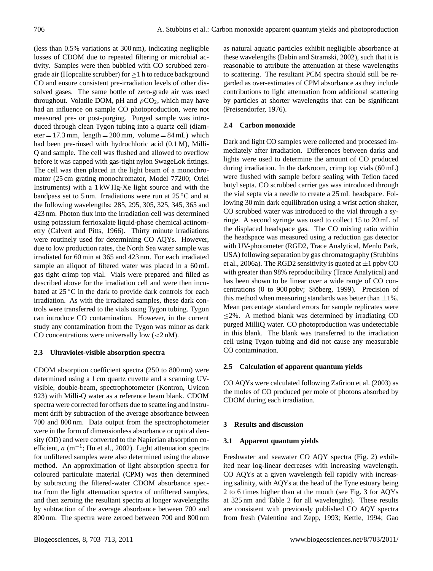(less than 0.5% variations at 300 nm), indicating negligible losses of CDOM due to repeated filtering or microbial activity. Samples were then bubbled with CO scrubbed zerograde air (Hopcalite scrubber) for  $\geq 1$  h to reduce background CO and ensure consistent pre-irradiation levels of other dissolved gases. The same bottle of zero-grade air was used throughout. Volatile DOM, pH and  $pCO<sub>2</sub>$ , which may have had an influence on sample CO photoproduction, were not measured pre- or post-purging. Purged sample was introduced through clean Tygon tubing into a quartz cell (diam- $\text{eter} = 17.3 \text{ mm}$ ,  $\text{length} = 200 \text{ mm}$ ,  $\text{volume} = 84 \text{ mL}$ ) which had been pre-rinsed with hydrochloric acid (0.1 M), Milli-Q and sample. The cell was flushed and allowed to overflow before it was capped with gas-tight nylon SwageLok fittings. The cell was then placed in the light beam of a monochromator (25 cm grating monochromator, Model 77200; Oriel Instruments) with a 1 kW Hg-Xe light source and with the bandpass set to 5 nm. Irradiations were run at  $25^{\circ}$ C and at the following wavelengths: 285, 295, 305, 325, 345, 365 and 423 nm. Photon flux into the irradiation cell was determined using potassium ferrioxalate liquid-phase chemical actinometry (Calvert and Pitts, 1966). Thirty minute irradiations were routinely used for determining CO AQYs. However, due to low production rates, the North Sea water sample was irradiated for 60 min at 365 and 423 nm. For each irradiated sample an aliquot of filtered water was placed in a 60 mL gas tight crimp top vial. Vials were prepared and filled as described above for the irradiation cell and were then incubated at 25 ℃ in the dark to provide dark controls for each irradiation. As with the irradiated samples, these dark controls were transferred to the vials using Tygon tubing. Tygon can introduce CO contamination. However, in the current study any contamination from the Tygon was minor as dark CO concentrations were universally low  $(< 2 nM)$ .

### **2.3 Ultraviolet-visible absorption spectra**

CDOM absorption coefficient spectra (250 to 800 nm) were determined using a 1 cm quartz cuvette and a scanning UVvisible, double-beam, spectrophotometer (Kontron, Uvicon 923) with Milli-Q water as a reference beam blank. CDOM spectra were corrected for offsets due to scattering and instrument drift by subtraction of the average absorbance between 700 and 800 nm. Data output from the spectrophotometer were in the form of dimensionless absorbance or optical density (OD) and were converted to the Napierian absorption coefficient,  $a$  (m<sup>-1</sup>; Hu et al., 2002). Light attenuation spectra for unfiltered samples were also determined using the above method. An approximation of light absorption spectra for coloured particulate material (CPM) was then determined by subtracting the filtered-water CDOM absorbance spectra from the light attenuation spectra of unfiltered samples, and then zeroing the resultant spectra at longer wavelengths by subtraction of the average absorbance between 700 and 800 nm. The spectra were zeroed between 700 and 800 nm as natural aquatic particles exhibit negligible absorbance at these wavelengths (Babin and Stramski, 2002), such that it is reasonable to attribute the attenuation at these wavelengths to scattering. The resultant PCM spectra should still be regarded as over-estimates of CPM absorbance as they include contributions to light attenuation from additional scattering by particles at shorter wavelengths that can be significant (Preisendorfer, 1976).

# **2.4 Carbon monoxide**

Dark and light CO samples were collected and processed immediately after irradiation. Differences between darks and lights were used to determine the amount of CO produced during irradiation. In the darkroom, crimp top vials (60 mL) were flushed with sample before sealing with Teflon faced butyl septa. CO scrubbed carrier gas was introduced through the vial septa via a needle to create a 25 mL headspace. Following 30 min dark equilibration using a wrist action shaker, CO scrubbed water was introduced to the vial through a syringe. A second syringe was used to collect 15 to 20 mL of the displaced headspace gas. The CO mixing ratio within the headspace was measured using a reduction gas detector with UV-photometer (RGD2, Trace Analytical, Menlo Park, USA) following separation by gas chromatography (Stubbins et al., 2006a). The RGD2 sensitivity is quoted at  $\pm 1$  ppbv CO with greater than 98% reproducibility (Trace Analytical) and has been shown to be linear over a wide range of CO concentrations (0 to 900 ppbv; Sjöberg, 1999). Precision of this method when measuring standards was better than  $\pm 1\%$ . Mean percentage standard errors for sample replicates were  $\leq$ 2%. A method blank was determined by irradiating CO purged MilliQ water. CO photoproduction was undetectable in this blank. The blank was transferred to the irradiation cell using Tygon tubing and did not cause any measurable CO contamination.

# **2.5 Calculation of apparent quantum yields**

CO AQYs were calculated following Zafiriou et al. (2003) as the moles of CO produced per mole of photons absorbed by CDOM during each irradiation.

### **3 Results and discussion**

### **3.1 Apparent quantum yields**

Freshwater and seawater CO AQY spectra (Fig. 2) exhibited near log-linear decreases with increasing wavelength. CO AQYs at a given wavelength fell rapidly with increasing salinity, with AQYs at the head of the Tyne estuary being 2 to 6 times higher than at the mouth (see Fig. 3 for AQYs at 325 nm and Table 2 for all wavelengths). These results are consistent with previously published CO AQY spectra from fresh (Valentine and Zepp, 1993; Kettle, 1994; Gao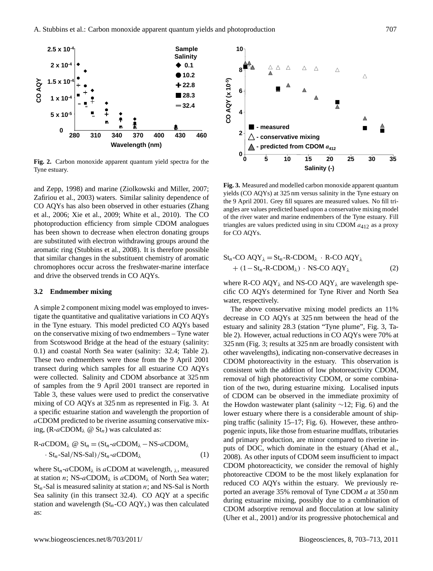

**Fig. 2.** Carbon monoxide apparent quantum yield spectra for the Tyne estuary.

and Zepp, 1998) and marine (Ziolkowski and Miller, 2007; Zafiriou et al., 2003) waters. Similar salinity dependence of CO AQYs has also been observed in other estuaries (Zhang et al., 2006; Xie et al., 2009; White et al., 2010). The CO photoproduction efficiency from simple CDOM analogues has been shown to decrease when electron donating groups are substituted with electron withdrawing groups around the aromatic ring (Stubbins et al., 2008). It is therefore possible that similar changes in the substituent chemistry of aromatic chromophores occur across the freshwater-marine interface and drive the observed trends in CO AQYs.

#### **3.2 Endmember mixing**

A simple 2 component mixing model was employed to investigate the quantitative and qualitative variations in CO AQYs in the Tyne estuary. This model predicted CO AQYs based on the conservative mixing of two endmembers – Tyne water from Scotswood Bridge at the head of the estuary (salinity: 0.1) and coastal North Sea water (salinity: 32.4; Table 2). These two endmembers were those from the 9 April 2001 transect during which samples for all estuarine CO AQYs were collected. Salinity and CDOM absorbance at 325 nm of samples from the 9 April 2001 transect are reported in Table 3, these values were used to predict the conservative mixing of CO AQYs at 325 nm as represented in Fig. 3. At a specific estuarine station and wavelength the proportion of aCDOM predicted to be riverine assuming conservative mixing,  $(R-aCDOM_\lambda \tQ St_n)$  was calculated as:

$$
R-aCDOM_{\lambda} \otimes St_n = (St_n-aCDOM_{\lambda} - NS-aCDOM_{\lambda} \cdot St_n-Sal/NS-Sal)/St_n-aCDOM_{\lambda}
$$
\n(1)

where  $St_n$ -aCDOM<sub> $\lambda$ </sub> is aCDOM at wavelength,  $\lambda$ , measured at station n; NS-aCDOM<sub> $\lambda$ </sub> is aCDOM<sub> $\lambda$ </sub> of North Sea water;  $St_n$ -Sal is measured salinity at station *n*; and NS-Sal is North Sea salinity (in this transect 32.4). CO AQY at a specific station and wavelength  $\left(\mathbf{St}_n\text{-CO } \mathbf{AQY}_\lambda\right)$  was then calculated as:



**Fig. 3.** Measured and modelled carbon monoxide apparent quantum yields (CO AQYs) at 325 nm versus salinity in the Tyne estuary on the 9 April 2001. Grey fill squares are measured values. No fill triangles are values predicted based upon a conservative mixing model of the river water and marine endmembers of the Tyne estuary. Fill triangles are values predicted using in situ CDOM  $a_{412}$  as a proxy for CO AQYs.

$$
Stn-CO AQY\lambda = Stn-R-CDOM\lambda · R-CO AQY\lambda+ (1-Stn-R-CDOM\lambda) · NS-CO AQY\lambda (2)
$$

where R-CO  $AQY_{\lambda}$  and NS-CO  $AQY_{\lambda}$  are wavelength specific CO AQYs determined for Tyne River and North Sea water, respectively.

The above conservative mixing model predicts an 11% decrease in CO AQYs at 325 nm between the head of the estuary and salinity 28.3 (station "Tyne plume", Fig. 3, Table 2). However, actual reductions in CO AQYs were 70% at 325 nm (Fig. 3; results at 325 nm are broadly consistent with other wavelengths), indicating non-conservative decreases in CDOM photoreactivity in the estuary. This observation is consistent with the addition of low photoreactivity CDOM, removal of high photoreactivity CDOM, or some combination of the two, during estuarine mixing. Localised inputs of CDOM can be observed in the immediate proximity of the Howdon wastewater plant (salinity ∼12; Fig. 6) and the lower estuary where there is a considerable amount of shipping traffic (salinity 15–17; Fig. 6). However, these anthropogenic inputs, like those from estuarine mudflats, tributaries and primary production, are minor compared to riverine inputs of DOC, which dominate in the estuary (Ahad et al., 2008). As other inputs of CDOM seem insufficient to impact CDOM photoreacticity, we consider the removal of highly photoreactive CDOM to be the most likely explanation for reduced CO AQYs within the estuary. We previously reported an average 35% removal of Tyne CDOM a at 350 nm during estuarine mixing, possibly due to a combination of CDOM adsorptive removal and flocculation at low salinity (Uher et al., 2001) and/or its progressive photochemical and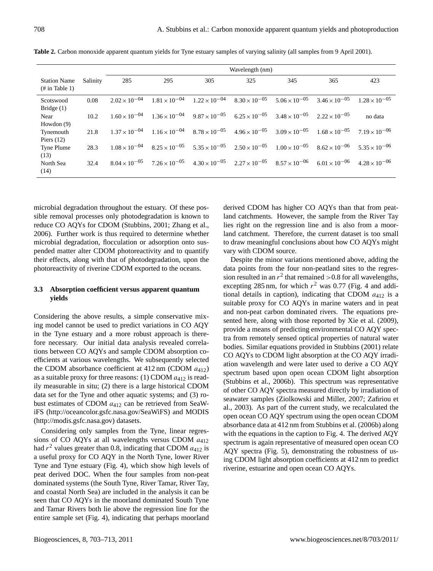|                                                  |          | Wavelength (nm)        |                        |                                                                                             |     |                        |                        |                        |
|--------------------------------------------------|----------|------------------------|------------------------|---------------------------------------------------------------------------------------------|-----|------------------------|------------------------|------------------------|
| <b>Station Name</b><br>$(\# \text{ in Table 1})$ | Salinity | 285                    | 295                    | 305                                                                                         | 325 | 345                    | 365                    | 423                    |
| Scotswood<br>Bridge $(1)$                        | 0.08     | $2.02 \times 10^{-04}$ |                        | $1.81 \times 10^{-04}$ $1.22 \times 10^{-04}$ $8.30 \times 10^{-05}$ $5.06 \times 10^{-05}$ |     |                        | $3.46 \times 10^{-05}$ | $1.28 \times 10^{-05}$ |
| Near<br>Howdon $(9)$                             | 10.2     | $1.60 \times 10^{-04}$ | $1.36 \times 10^{-04}$ | $9.87 \times 10^{-05}$ 6.25 $\times 10^{-05}$                                               |     | $3.48 \times 10^{-05}$ | $2.22 \times 10^{-05}$ | no data                |
| Tynemouth<br>Piers $(12)$                        | 21.8     | $1.37 \times 10^{-04}$ |                        | $1.16 \times 10^{-04}$ $8.78 \times 10^{-05}$ $4.96 \times 10^{-05}$                        |     | $3.09 \times 10^{-05}$ | $1.68 \times 10^{-05}$ | $7.19 \times 10^{-06}$ |
| Tyne Plume<br>(13)                               | 28.3     | $1.08 \times 10^{-04}$ | $8.25 \times 10^{-05}$ | $5.35 \times 10^{-05}$ $2.50 \times 10^{-05}$ $1.00 \times 10^{-05}$                        |     |                        | $8.62 \times 10^{-06}$ | $5.35 \times 10^{-06}$ |
| North Sea<br>(14)                                | 32.4     | $8.04 \times 10^{-05}$ | $7.26 \times 10^{-05}$ | $4.30 \times 10^{-05}$ $2.27 \times 10^{-05}$ $8.57 \times 10^{-06}$                        |     |                        | $6.01 \times 10^{-06}$ | $4.28 \times 10^{-06}$ |

**Table 2.** Carbon monoxide apparent quantum yields for Tyne estuary samples of varying salinity (all samples from 9 April 2001).

microbial degradation throughout the estuary. Of these possible removal processes only photodegradation is known to reduce CO AQYs for CDOM (Stubbins, 2001; Zhang et al., 2006). Further work is thus required to determine whether microbial degradation, flocculation or adsorption onto suspended matter alter CDOM photoreactivity and to quantify their effects, along with that of photodegradation, upon the photoreactivity of riverine CDOM exported to the oceans.

## **3.3 Absorption coefficient versus apparent quantum yields**

Considering the above results, a simple conservative mixing model cannot be used to predict variations in CO AQY in the Tyne estuary and a more robust approach is therefore necessary. Our initial data analysis revealed correlations between CO AQYs and sample CDOM absorption coefficients at various wavelengths. We subsequently selected the CDOM absorbance coefficient at  $412 \text{ nm}$  (CDOM  $a_{412}$ ) as a suitable proxy for three reasons: (1) CDOM  $a_{412}$  is readily measurable in situ; (2) there is a large historical CDOM data set for the Tyne and other aquatic systems; and (3) robust estimates of CDOM  $a_{412}$  can be retrieved from SeaWiFS [\(http://oceancolor.gsfc.nasa.gov/SeaWiFS\)](http://oceancolor.gsfc.nasa.gov/SeaWiFS) and MODIS [\(http://modis.gsfc.nasa.gov\)](http://modis.gsfc.nasa.gov) datasets.

Considering only samples from the Tyne, linear regressions of CO AQYs at all wavelengths versus CDOM  $a_{412}$ had  $r^2$  values greater than 0.8, indicating that CDOM  $a_{412}$  is a useful proxy for CO AQY in the North Tyne, lower River Tyne and Tyne estuary (Fig. 4), which show high levels of peat derived DOC. When the four samples from non-peat dominated systems (the South Tyne, River Tamar, River Tay, and coastal North Sea) are included in the analysis it can be seen that CO AQYs in the moorland dominated South Tyne and Tamar Rivers both lie above the regression line for the entire sample set (Fig. 4), indicating that perhaps moorland derived CDOM has higher CO AQYs than that from peatland catchments. However, the sample from the River Tay lies right on the regression line and is also from a moorland catchment. Therefore, the current dataset is too small to draw meaningful conclusions about how CO AQYs might vary with CDOM source.

Despite the minor variations mentioned above, adding the data points from the four non-peatland sites to the regression resulted in an  $r^2$  that remained >0.8 for all wavelengths, excepting 285 nm, for which  $r^2$  was 0.77 (Fig. 4 and additional details in caption), indicating that CDOM  $a_{412}$  is a suitable proxy for CO AQYs in marine waters and in peat and non-peat carbon dominated rivers. The equations presented here, along with those reported by Xie et al. (2009), provide a means of predicting environmental CO AQY spectra from remotely sensed optical properties of natural water bodies. Similar equations provided in Stubbins (2001) relate CO AQYs to CDOM light absorption at the CO AQY irradiation wavelength and were later used to derive a CO AQY spectrum based upon open ocean CDOM light absorption (Stubbins et al., 2006b). This spectrum was representative of other CO AQY spectra measured directly by irradiation of seawater samples (Ziolkowski and Miller, 2007; Zafiriou et al., 2003). As part of the current study, we recalculated the open ocean CO AQY spectrum using the open ocean CDOM absorbance data at 412 nm from Stubbins et al. (2006b) along with the equations in the caption to Fig. 4. The derived AQY spectrum is again representative of measured open ocean CO AQY spectra (Fig. 5), demonstrating the robustness of using CDOM light absorption coefficients at 412 nm to predict riverine, estuarine and open ocean CO AQYs.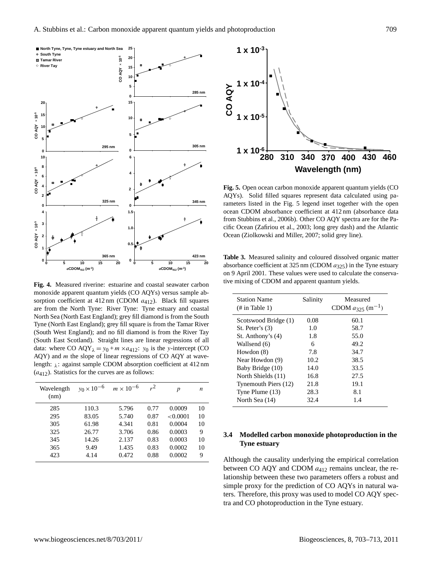

**Fig. 4.** Measured riverine: estuarine and coastal seawater carbon monoxide apparent quantum yields (CO AQYs) versus sample absorption coefficient at  $412 \text{ nm}$  (CDOM  $a_{412}$ ). Black fill squares are from the North Tyne: River Tyne: Tyne estuary and coastal North Sea (North East England); grey fill diamond is from the South Tyne (North East England); grey fill square is from the Tamar River (South West England); and no fill diamond is from the River Tay (South East Scotland). Straight lines are linear regressions of all data: where CO AQY<sub> $\lambda$ </sub> = y<sub>0</sub> + m × a<sub>412</sub>: y<sub>0</sub> is the y-intercept (CO  $AQY$ ) and  $m$  the slope of linear regressions of CO  $AQY$  at wavelength:  $\lambda$ : against sample CDOM absorption coefficient at 412 nm  $(a_{412})$ . Statistics for the curves are as follows:

| Wavelength<br>(nm) | $y_0 \times 10^{-6}$ | $m \times 10^{-6}$ | $r^2$ | $\boldsymbol{p}$ | n  |
|--------------------|----------------------|--------------------|-------|------------------|----|
| 285                | 110.3                | 5.796              | 0.77  | 0.0009           | 10 |
| 295                | 83.05                | 5.740              | 0.87  | < 0.0001         | 10 |
| 305                | 61.98                | 4.341              | 0.81  | 0.0004           | 10 |
| 325                | 26.77                | 3.706              | 0.86  | 0.0003           | 9  |
| 345                | 14.26                | 2.137              | 0.83  | 0.0003           | 10 |
| 365                | 9.49                 | 1.435              | 0.83  | 0.0002           | 10 |
| 423                | 4.14                 | 0.472              | 0.88  | 0.0002           | 9  |



**Fig. 5.** Open ocean carbon monoxide apparent quantum yields (CO AQYs). Solid filled squares represent data calculated using parameters listed in the Fig. 5 legend inset together with the open ocean CDOM absorbance coefficient at 412 nm (absorbance data from Stubbins et al., 2006b). Other CO AQY spectra are for the Pacific Ocean (Zafiriou et al., 2003; long grey dash) and the Atlantic Ocean (Ziolkowski and Miller, 2007; solid grey line).

**Table 3.** Measured salinity and coloured dissolved organic matter absorbance coefficient at 325 nm (CDOM  $a_{325}$ ) in the Tyne estuary on 9 April 2001. These values were used to calculate the conservative mixing of CDOM and apparent quantum yields.

| <b>Station Name</b><br>$(\# \text{ in Table 1})$ | Salinity | Measured<br>CDOM $a_{325}$ (m <sup>-1</sup> ) |
|--------------------------------------------------|----------|-----------------------------------------------|
| Scotswood Bridge (1)                             | 0.08     | 60.1                                          |
| St. Peter's $(3)$                                | 1.0      | 58.7                                          |
| St. Anthony's (4)                                | 1.8      | 55.0                                          |
| Wallsend (6)                                     | 6        | 49.2                                          |
| Howdon (8)                                       | 7.8      | 34.7                                          |
| Near Howdon (9)                                  | 10.2     | 38.5                                          |
| Baby Bridge (10)                                 | 14.0     | 33.5                                          |
| North Shields (11)                               | 16.8     | 27.5                                          |
| Tynemouth Piers (12)                             | 21.8     | 19.1                                          |
| Tyne Plume (13)                                  | 28.3     | 8.1                                           |
| North Sea (14)                                   | 32.4     | 1.4                                           |

### **3.4 Modelled carbon monoxide photoproduction in the Tyne estuary**

Although the causality underlying the empirical correlation between CO AQY and CDOM  $a_{412}$  remains unclear, the relationship between these two parameters offers a robust and simple proxy for the prediction of CO AQYs in natural waters. Therefore, this proxy was used to model CO AQY spectra and CO photoproduction in the Tyne estuary.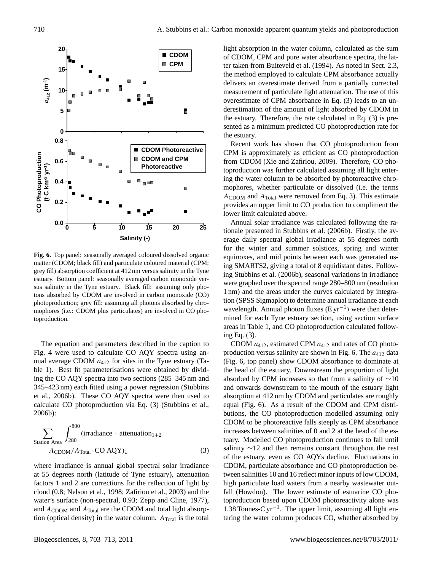

**Fig. 6.** Top panel: seasonally averaged coloured dissolved organic matter (CDOM; black fill) and particulate coloured material (CPM; grey fill) absorption coefficient at 412 nm versus salinity in the Tyne estuary. Bottom panel: seasonally averaged carbon monoxide versus salinity in the Tyne estuary. Black fill: assuming only photons absorbed by CDOM are involved in carbon monoxide (CO) photoproduction; grey fill: assuming all photons absorbed by chromophores (i.e.: CDOM plus particulates) are involved in CO photoproduction.

The equation and parameters described in the caption to Fig. 4 were used to calculate CO AQY spectra using annual average CDOM  $a_{412}$  for sites in the Tyne estuary (Table 1). Best fit parameterisations were obtained by dividing the CO AQY spectra into two sections (285–345 nm and 345–423 nm) each fitted using a power regression (Stubbins et al., 2006b). These CO AQY spectra were then used to calculate CO photoproduction via Eq. (3) (Stubbins et al., 2006b):

$$
\sum_{\text{Station Area}} \int_{280}^{800} (\text{irradiance} \cdot \text{attention}_{1+2} + A_{\text{CDOM}}/A_{\text{Total}} \cdot \text{CO AQY})_{\lambda}
$$
(3)

where irradiance is annual global spectral solar irradiance at 55 degrees north (latitude of Tyne estuary), attenuation factors 1 and 2 are corrections for the reflection of light by cloud (0.8; Nelson et al., 1998; Zafiriou et al., 2003) and the water's surface (non-spectral, 0.93; Zepp and Cline, 1977), and  $A_{\text{CDOM}}$  and  $A_{\text{Total}}$  are the CDOM and total light absorption (optical density) in the water column.  $A_{\text{Total}}$  is the total light absorption in the water column, calculated as the sum of CDOM, CPM and pure water absorbance spectra, the latter taken from Buiteveld et al. (1994). As noted in Sect. 2.3, the method employed to calculate CPM absorbance actually delivers an overestimate derived from a partially corrected measurement of particulate light attenuation. The use of this overestimate of CPM absorbance in Eq. (3) leads to an underestimation of the amount of light absorbed by CDOM in the estuary. Therefore, the rate calculated in Eq. (3) is presented as a minimum predicted CO photoproduction rate for the estuary.

Recent work has shown that CO photoproduction from CPM is approximately as efficient as CO photoproduction from CDOM (Xie and Zafiriou, 2009). Therefore, CO photoproduction was further calculated assuming all light entering the water column to be absorbed by photoreactive chromophores, whether particulate or dissolved (i.e. the terms  $A_{\rm{CDOM}}$  and  $A_{\rm{Total}}$  were removed from Eq. 3). This estimate provides an upper limit to CO production to compliment the lower limit calculated above.

Annual solar irradiance was calculated following the rationale presented in Stubbins et al. (2006b). Firstly, the average daily spectral global irradiance at 55 degrees north for the winter and summer solstices, spring and winter equinoxes, and mid points between each was generated using SMARTS2, giving a total of 8 equidistant dates. Following Stubbins et al. (2006b), seasonal variations in irradiance were graphed over the spectral range 280–800 nm (resolution 1 nm) and the areas under the curves calculated by integration (SPSS Sigmaplot) to determine annual irradiance at each wavelength. Annual photon fluxes (E yr<sup>-1</sup>) were then determined for each Tyne estuary section, using section surface areas in Table 1, and CO photoproduction calculated following Eq. (3).

CDOM  $a_{412}$ , estimated CPM  $a_{412}$  and rates of CO photoproduction versus salinity are shown in Fig. 6. The  $a_{412}$  data (Fig. 6, top panel) show CDOM absorbance to dominate at the head of the estuary. Downstream the proportion of light absorbed by CPM increases so that from a salinity of ∼10 and onwards downstream to the mouth of the estuary light absorption at 412 nm by CDOM and particulates are roughly equal (Fig. 6). As a result of the CDOM and CPM distributions, the CO photoproduction modelled assuming only CDOM to be photoreactive falls steeply as CPM absorbance increases between salinities of 0 and 2 at the head of the estuary. Modelled CO photoproduction continues to fall until salinity ∼12 and then remains constant throughout the rest of the estuary, even as CO AQYs decline. Fluctuations in CDOM, particulate absorbance and CO photoproduction between salinities 10 and 16 reflect minor inputs of low CDOM, high particulate load waters from a nearby wastewater outfall (Howdon). The lower estimate of estuarine CO photoproduction based upon CDOM photoreactivity alone was 1.38 Tonnes-C yr−<sup>1</sup> . The upper limit, assuming all light entering the water column produces CO, whether absorbed by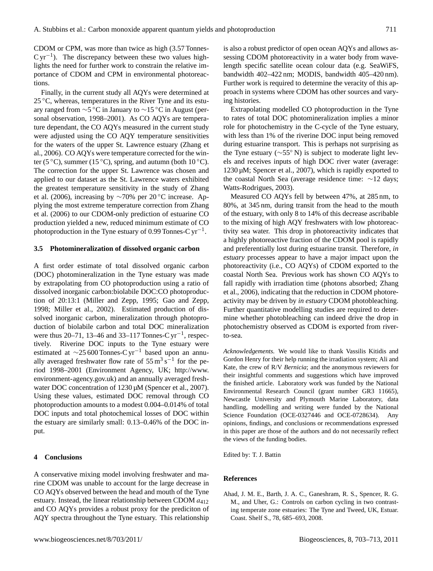CDOM or CPM, was more than twice as high (3.57 Tonnes- $C \, \text{yr}^{-1}$ ). The discrepancy between these two values highlights the need for further work to constrain the relative importance of CDOM and CPM in environmental photoreactions.

Finally, in the current study all AQYs were determined at  $25^{\circ}$ C, whereas, temperatures in the River Tyne and its estuary ranged from ∼5 ◦C in January to ∼15 ◦C in August (personal observation, 1998–2001). As CO AQYs are temperature dependant, the CO AQYs measured in the current study were adjusted using the CO AQY temperature sensitivities for the waters of the upper St. Lawrence estuary (Zhang et al., 2006). CO AQYs were temperature corrected for the winter (5  $\rm{°C}$ ), summer (15  $\rm{°C}$ ), spring, and autumn (both 10  $\rm{°C}$ ). The correction for the upper St. Lawrence was chosen and applied to our dataset as the St. Lawrence waters exhibited the greatest temperature sensitivity in the study of Zhang et al. (2006), increasing by ∼70% per 20 ◦C increase. Applying the most extreme temperature correction from Zhang et al. (2006) to our CDOM-only prediction of estuarine CO production yielded a new, reduced minimum estimate of CO photoproduction in the Tyne estuary of 0.99 Tonnes-C  $yr^{-1}$ .

#### **3.5 Photomineralization of dissolved organic carbon**

A first order estimate of total dissolved organic carbon (DOC) photomineralization in the Tyne estuary was made by extrapolating from CO photoproduction using a ratio of dissolved inorganic carbon:biolabile DOC:CO photoproduction of 20:13:1 (Miller and Zepp, 1995; Gao and Zepp, 1998; Miller et al., 2002). Estimated production of dissolved inorganic carbon, mineralization through photoproduction of biolabile carbon and total DOC mineralization were thus 20–71, 13–46 and 33–117 Tonnes-C yr<sup>-1</sup>, respectively. Riverine DOC inputs to the Tyne estuary were estimated at  $\sim$ 25 600 Tonnes-C yr<sup>-1</sup> based upon an annually averaged freshwater flow rate of  $55 \,\mathrm{m^3\,s^{-1}}$  for the period 1998–2001 (Environment Agency, UK; [http://www.](http://www.environment-agency.gov.uk) [environment-agency.gov.uk\)](http://www.environment-agency.gov.uk) and an annually averaged freshwater DOC concentration of 1230  $\mu$ M (Spencer et al., 2007). Using these values, estimated DOC removal through CO photoproduction amounts to a modest 0.004–0.014% of total DOC inputs and total photochemical losses of DOC within the estuary are similarly small: 0.13–0.46% of the DOC input.

#### **4 Conclusions**

A conservative mixing model involving freshwater and marine CDOM was unable to account for the large decrease in CO AQYs observed between the head and mouth of the Tyne estuary. Instead, the linear relationship between CDOM  $a_{412}$ and CO AQYs provides a robust proxy for the prediciton of AQY spectra throughout the Tyne estuary. This relationship is also a robust predictor of open ocean AQYs and allows assessing CDOM photoreactivity in a water body from wavelength specific satellite ocean colour data (e.g. SeaWiFS, bandwidth 402–422 nm; MODIS, bandwidth 405–420 nm). Further work is required to determine the veracity of this approach in systems where CDOM has other sources and varying histories.

Extrapolating modelled CO photoproduction in the Tyne to rates of total DOC photomineralization implies a minor role for photochemistry in the C-cycle of the Tyne estuary, with less than 1% of the riverine DOC input being removed during estuarine transport. This is perhaps not surprising as the Tyne estuary (∼55◦ N) is subject to moderate light levels and receives inputs of high DOC river water (average: 1230 µM; Spencer et al., 2007), which is rapidly exported to the coastal North Sea (average residence time: ∼12 days; Watts-Rodrigues, 2003).

Measured CO AQYs fell by between 47%, at 285 nm, to 80%, at 345 nm, during transit from the head to the mouth of the estuary, with only 8 to 14% of this decrease ascribable to the mixing of high AQY freshwaters with low photoreactivity sea water. This drop in photoreactivity indicates that a highly photoreactive fraction of the CDOM pool is rapidly and preferentially lost during estuarine transit. Therefore, *in estuary* processes appear to have a major impact upon the photoreactivity (i.e., CO AQYs) of CDOM exported to the coastal North Sea. Previous work has shown CO AQYs to fall rapidly with irradiation time (photons absorbed; Zhang et al., 2006), indicating that the reduction in CDOM photoreactivity may be driven by *in estuary* CDOM photobleaching. Further quantitative modelling studies are required to determine whether photobleaching can indeed drive the drop in photochemistry observed as CDOM is exported from riverto-sea.

*Acknowledgements.* We would like to thank Vassilis Kitidis and Gordon Henry for their help running the irradiation system; Ali and Kate, the crew of R/V *Bernicia*; and the anonymous reviewers for their insightful comments and suggestions which have improved the finished article. Laboratory work was funded by the National Environmental Research Council (grant number GR3 11665), Newcastle University and Plymouth Marine Laboratory, data handling, modelling and writing were funded by the National Science Foundation (OCE-0327446 and OCE-0728634). Any opinions, findings, and conclusions or recommendations expressed in this paper are those of the authors and do not necessarily reflect the views of the funding bodies.

Edited by: T. J. Battin

#### **References**

Ahad, J. M. E., Barth, J. A. C., Ganeshram, R. S., Spencer, R. G. M., and Uher, G.: Controls on carbon cycling in two contrasting temperate zone estuaries: The Tyne and Tweed, UK, Estuar. Coast. Shelf S., 78, 685–693, 2008.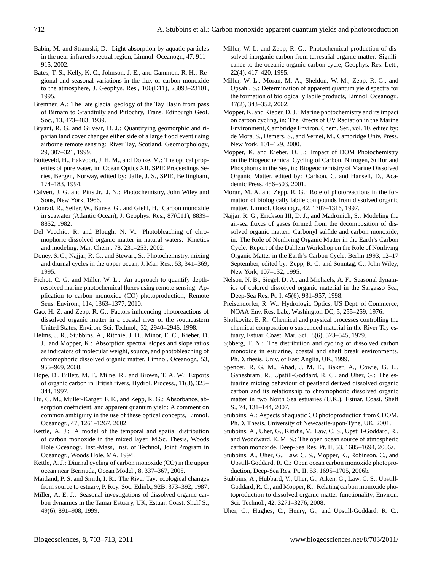- Babin, M. and Stramski, D.: Light absorption by aquatic particles in the near-infrared spectral region, Limnol. Oceanogr., 47, 911– 915, 2002.
- Bates, T. S., Kelly, K. C., Johnson, J. E., and Gammon, R. H.: Regional and seasonal variations in the flux of carbon monoxide to the atmosphere, J. Geophys. Res., 100(D11), 23093–23101, 1995.
- Bremner, A.: The late glacial geology of the Tay Basin from pass of Birnam to Grandtully and Pitlochry, Trans. Edinburgh Geol. Soc., 13, 473–483, 1939.
- Bryant, R. G. and Gilvear, D. J.: Quantifying geomorphic and riparian land cover changes either side of a large flood event using airborne remote sensing: River Tay, Scotland, Geomorphology, 29, 307–321, 1999.
- Buiteveld, H., Hakvoort, J. H. M., and Donze, M.: The optical properties of pure water, in: Ocean Optics XII. SPIE Proceedings Series, Bergen, Norway, edited by: Jaffe, J. S., SPIE, Bellingham, 174–183, 1994.
- Calvert, J. G. and Pitts Jr., J. N.: Photochemistry, John Wiley and Sons, New York, 1966.
- Conrad, R., Seiler, W., Bunse, G., and Giehl, H.: Carbon monoxide in seawater (Atlantic Ocean), J. Geophys. Res., 87(C11), 8839– 8852, 1982.
- Del Vecchio, R. and Blough, N. V.: Photobleaching of chromophoric dissolved organic matter in natural waters: Kinetics and modeling, Mar. Chem., 78, 231–253, 2002.
- Doney, S. C., Najjar, R. G., and Stewart, S.: Photochemistry, mixing and diurnal cycles in the upper ocean, J. Mar. Res., 53, 341–369, 1995.
- Fichot, C. G. and Miller, W. L.: An approach to quantify depthresolved marine photochemical fluxes using remote sensing: Application to carbon monoxide (CO) photoproduction, Remote Sens. Environ., 114, 1363–1377, 2010.
- Gao, H. Z. and Zepp, R. G.: Factors influencing photoreactions of dissolved organic matter in a coastal river of the southeastern United States, Environ. Sci. Technol., 32, 2940–2946, 1998.
- Helms, J. R., Stubbins, A., Ritchie, J. D., Minor, E. C., Kieber, D. J., and Mopper, K.: Absorption spectral slopes and slope ratios as indicators of molecular weight, source, and photobleaching of chromophoric dissolved organic matter, Limnol. Oceanogr., 53, 955–969, 2008.
- Hope, D., Billett, M. F., Milne, R., and Brown, T. A. W.: Exports of organic carbon in British rivers, Hydrol. Process., 11(3), 325– 344, 1997.
- Hu, C. M., Muller-Karger, F. E., and Zepp, R. G.: Absorbance, absorption coefficient, and apparent quantum yield: A comment on common ambiguity in the use of these optical concepts, Limnol. Oceanogr., 47, 1261–1267, 2002.
- Kettle, A. J.: A model of the temporal and spatial distribution of carbon monoxide in the mixed layer, M.Sc. Thesis, Woods Hole Oceanogr. Inst.-Mass, Inst. of Technol, Joint Program in Oceanogr., Woods Hole, MA, 1994.
- Kettle, A. J.: Diurnal cycling of carbon monoxide (CO) in the upper ocean near Bermuda, Ocean Model., 8, 337–367, 2005.
- Maitland, P. S. and Smith, I. R.: The River Tay: ecological changes from source to estuary, P. Roy. Soc. Edinb., 92B, 373–392, 1987.
- Miller, A. E. J.: Seasonal investigations of dissolved organic carbon dynamics in the Tamar Estuary, UK, Estuar. Coast. Shelf S., 49(6), 891–908, 1999.
- Miller, W. L. and Zepp, R. G.: Photochemical production of dissolved inorganic carbon from terrestrial organic-matter: Significance to the oceanic organic-carbon cycle, Geophys. Res. Lett., 22(4), 417–420, 1995.
- Miller, W. L., Moran, M. A., Sheldon, W. M., Zepp, R. G., and Opsahl, S.: Determination of apparent quantum yield spectra for the formation of biologically labile products, Limnol. Oceanogr., 47(2), 343–352, 2002.
- Mopper, K. and Kieber, D. J.: Marine photochemistry and its impact on carbon cycling, in: The Effects of UV Radiation in the Marine Environment, Cambridge Environ. Chem. Ser., vol. 10, edited by: de Mora, S., Demers, S., and Vernet, M., Cambridge Univ. Press, New York, 101–129, 2000.
- Mopper, K. and Kieber, D. J.: Impact of DOM Photochemistry on the Biogeochemical Cycling of Carbon, Nitrogen, Sulfur and Phosphorus in the Sea, in: Biogeochemistry of Marine Dissolved Organic Matter, edited by: Carlson, C. and Hansell, D., Academic Press, 456–503, 2001.
- Moran, M. A. and Zepp, R. G.: Role of photoreactions in the formation of biologically labile compounds from dissolved organic matter, Limnol. Oceanogr., 42, 1307–1316, 1997.
- Najjar, R. G., Erickson III, D. J., and Madronich, S.: Modeling the air-sea fluxes of gases formed from the decomposition of dissolved organic matter: Carbonyl sulfide and carbon monoxide, in: The Role of Nonliving Organic Matter in the Earth's Carbon Cycle: Report of the Dahlem Workshop on the Role of Nonliving Organic Matter in the Earth's Carbon Cycle, Berlin 1993, 12–17 September, edited by: Zepp, R. G. and Sonntag, C., John Wiley, New York, 107–132, 1995.
- Nelson, N. B., Siegel, D. A., and Michaels, A. F.: Seasonal dynamics of colored dissolved organic material in the Sargasso Sea, Deep-Sea Res. Pt. I, 45(6), 931–957, 1998.
- Preisendorfer, R. W.: Hydrologic Optics, US Dept. of Commerce, NOAA Env. Res. Lab., Washington DC, 5, 255–259, 1976.
- Sholkovitz, E. R.: Chemical and physical processes controlling the chemical composition o suspended material in the River Tay estuary, Estuar. Coast. Mar. Sci., 8(6), 523–545, 1979.
- Sjöberg, T. N.: The distribution and cycling of dissolved carbon monoxide in estuarine, coastal and shelf break environments, Ph.D. thesis, Univ. of East Anglia, UK, 1999.
- Spencer, R. G. M., Ahad, J. M. E., Baker, A., Cowie, G. L., Ganeshram, R., Upstill-Goddard, R. C., and Uher, G.: The estuarine mixing behaviour of peatland derived dissolved organic carbon and its relationship to chromophoric dissolved organic matter in two North Sea estuaries (U.K.), Estuar. Coast. Shelf S., 74, 131–144, 2007.
- Stubbins, A.: Aspects of aquatic CO photoproduction from CDOM, Ph.D. Thesis, University of Newcastle-upon-Tyne, UK, 2001.
- Stubbins, A., Uher, G., Kitidis, V., Law, C. S., Upstill-Goddard, R., and Woodward, E. M. S.: The open ocean source of atmospheric carbon monoxide, Deep-Sea Res. Pt. II, 53, 1685–1694, 2006a.
- Stubbins, A., Uher, G., Law, C. S., Mopper, K., Robinson, C., and Upstill-Goddard, R. C.: Open ocean carbon monoxide photoproduction, Deep-Sea Res. Pt. II, 53, 1695–1705, 2006b.
- Stubbins, A., Hubbard, V., Uher, G., Aiken, G., Law, C. S., Upstill-Goddard, R. C., and Mopper, K.: Relating carbon monoxide photoproduction to dissolved organic matter functionality, Environ. Sci. Technol., 42, 3271–3276, 2008.
- Uher, G., Hughes, C., Henry, G., and Upstill-Goddard, R. C.: